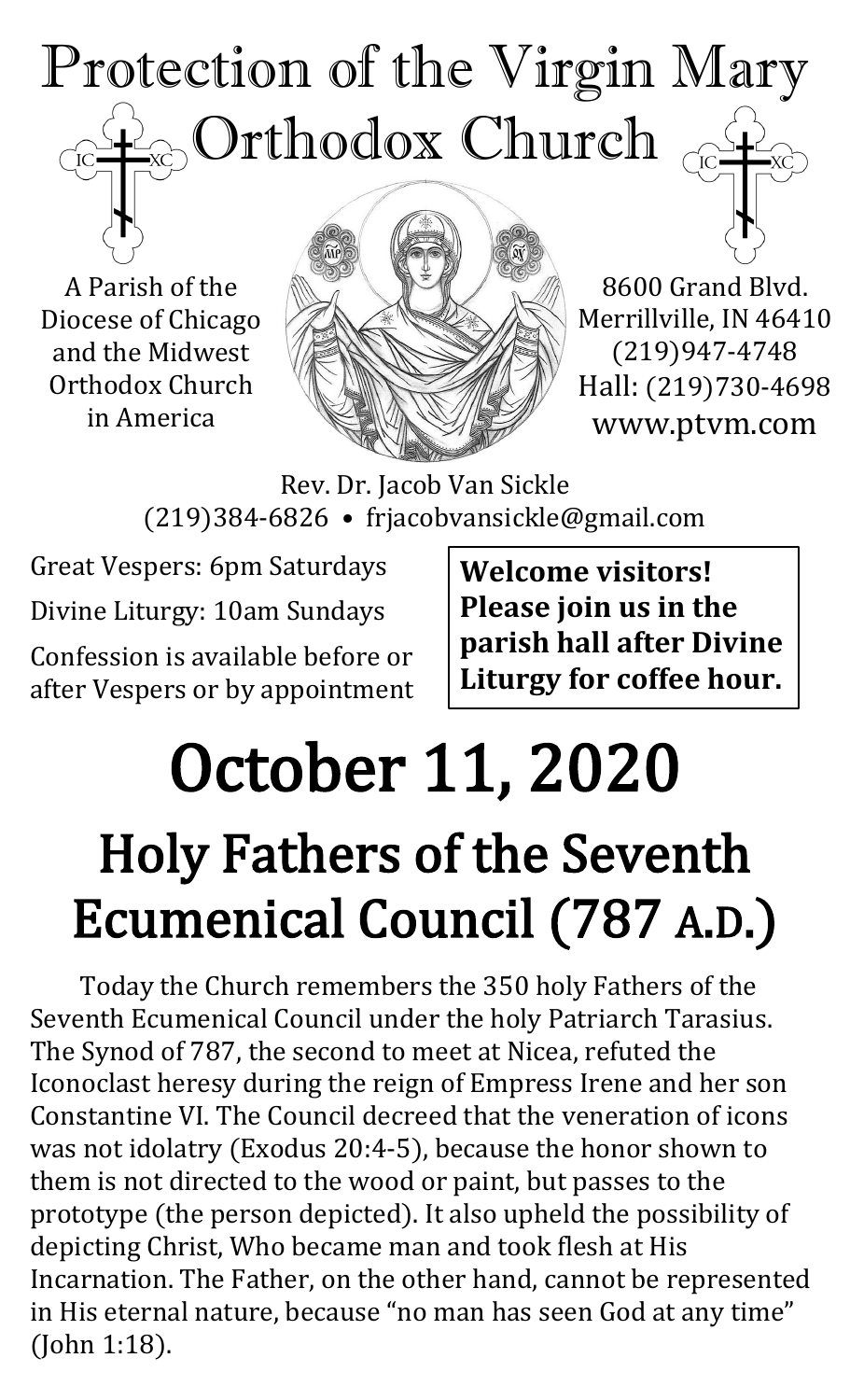

A Parish of the Diocese of Chicago and the Midwest Orthodox Church in America



8600 Grand Blvd. Merrillville, IN 46410 (219)947-4748 Hall: (219)730-4698 www.ptvm.com

Rev. Dr. Jacob Van Sickle (219)384-6826 • frjacobvansickle@gmail.com

Great Vespers: 6pm Saturdays Divine Liturgy: 10am Sundays Confession is available before or after Vespers or by appointment **Welcome visitors! Please join us in the parish hall after Divine Liturgy for coffee hour.**

# October 11, 2020 Holy Fathers of the Seventh

# Ecumenical Council (787 A.D.)

Today the Church remembers the 350 holy Fathers of the Seventh Ecumenical Council under the holy Patriarch Tarasius. The Synod of 787, the second to meet at Nicea, refuted the Iconoclast heresy during the reign of Empress Irene and her son Constantine VI. The Council decreed that the veneration of icons was not idolatry (Exodus 20:4-5), because the honor shown to them is not directed to the wood or paint, but passes to the prototype (the person depicted). It also upheld the possibility of depicting Christ, Who became man and took flesh at His Incarnation. The Father, on the other hand, cannot be represented in His eternal nature, because "no man has seen God at any time" (John 1:18).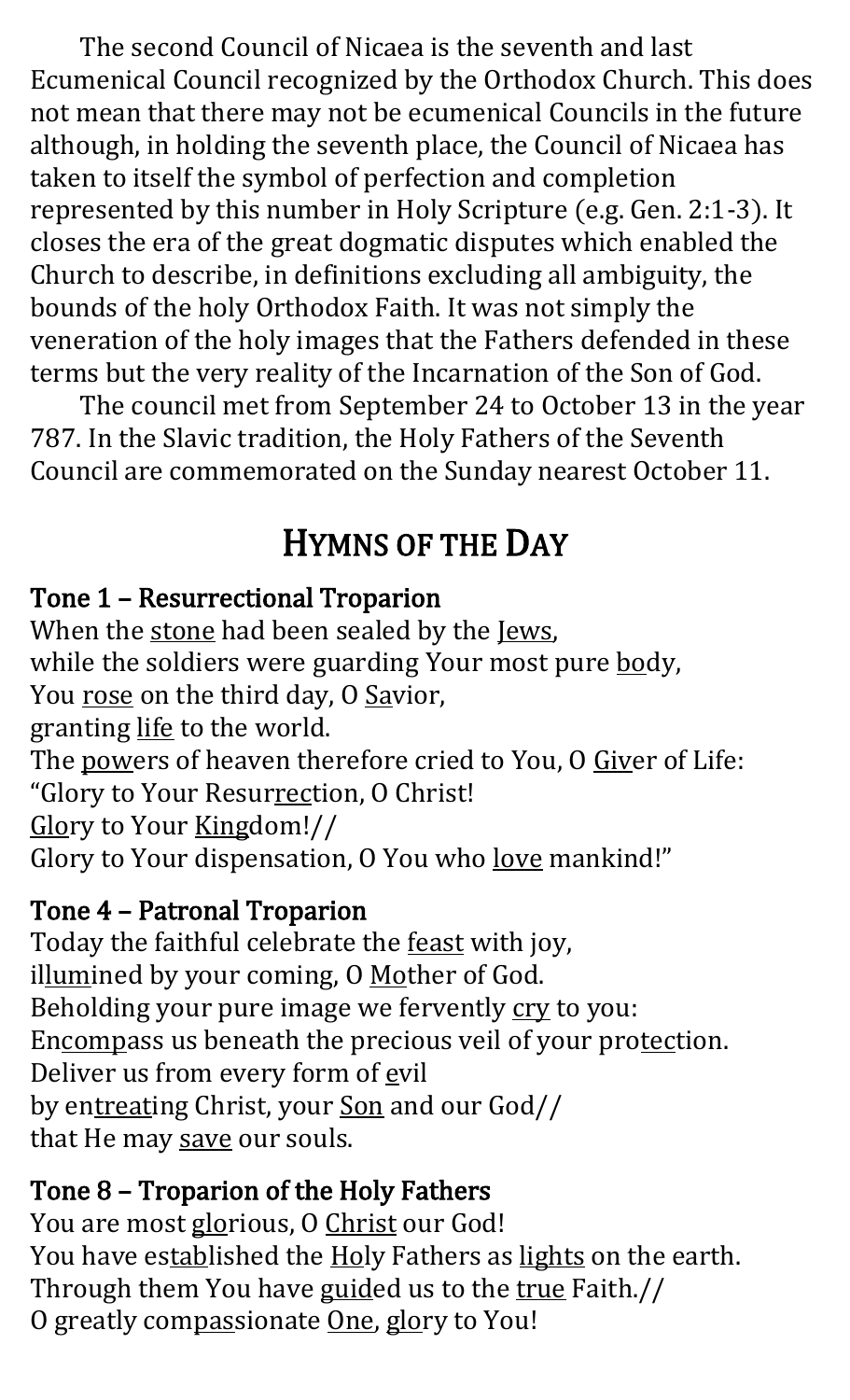The second Council of Nicaea is the seventh and last Ecumenical Council recognized by the Orthodox Church. This does not mean that there may not be ecumenical Councils in the future although, in holding the seventh place, the Council of Nicaea has taken to itself the symbol of perfection and completion represented by this number in Holy Scripture (e.g. Gen. 2:1-3). It closes the era of the great dogmatic disputes which enabled the Church to describe, in definitions excluding all ambiguity, the bounds of the holy Orthodox Faith. It was not simply the veneration of the holy images that the Fathers defended in these terms but the very reality of the Incarnation of the Son of God.

The council met from September 24 to October 13 in the year 787. In the Slavic tradition, the Holy Fathers of the Seventh Council are commemorated on the Sunday nearest October 11.

## HYMNS OF THE DAY

#### Tone 1 – Resurrectional Troparion

When the stone had been sealed by the Jews, while the soldiers were guarding Your most pure body, You rose on the third day, O Savior, granting life to the world. The powers of heaven therefore cried to You, O Giver of Life: "Glory to Your Resurrection, O Christ! Glory to Your Kingdom!// Glory to Your dispensation, O You who love mankind!"

#### Tone 4 – Patronal Troparion

Today the faithful celebrate the feast with joy, illumined by your coming, O Mother of God. Beholding your pure image we fervently cry to you: Encompass us beneath the precious veil of your protection. Deliver us from every form of evil by entreating Christ, your Son and our God// that He may save our souls.

#### Tone 8 – Troparion of the Holy Fathers

You are most glorious, O Christ our God! You have established the Holy Fathers as lights on the earth. Through them You have guided us to the true Faith.// O greatly compassionate One, glory to You!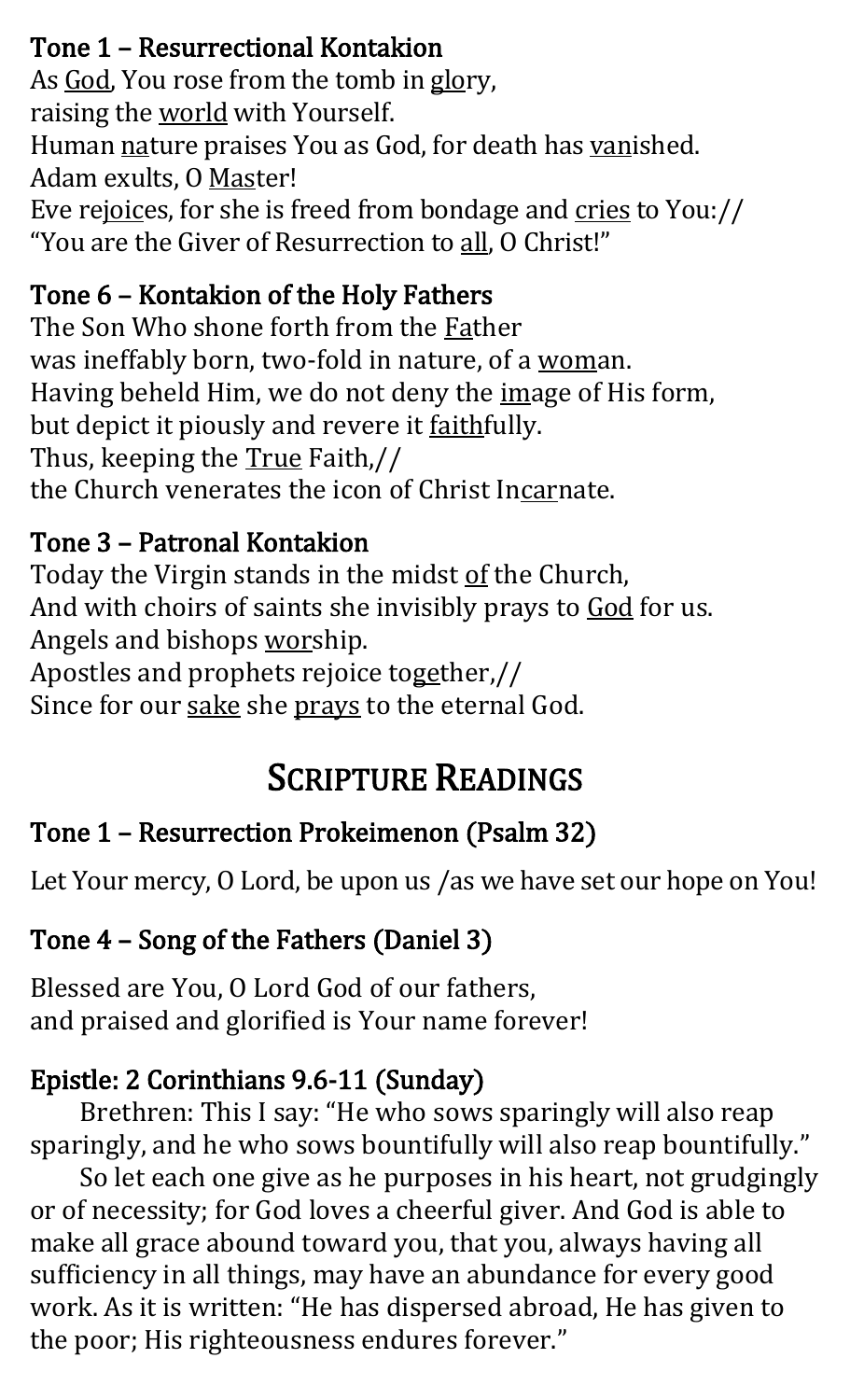#### Tone 1 – Resurrectional Kontakion

As God, You rose from the tomb in glory, raising the world with Yourself. Human nature praises You as God, for death has vanished. Adam exults, O Master! Eve rejoices, for she is freed from bondage and cries to You:// "You are the Giver of Resurrection to all, O Christ!"

#### Tone 6 – Kontakion of the Holy Fathers

The Son Who shone forth from the Father was ineffably born, two-fold in nature, of a woman. Having beheld Him, we do not deny the image of His form, but depict it piously and revere it faithfully. Thus, keeping the True Faith,// the Church venerates the icon of Christ Incarnate.

#### Tone 3 – Patronal Kontakion

Today the Virgin stands in the midst of the Church, And with choirs of saints she invisibly prays to God for us. Angels and bishops worship.

Apostles and prophets rejoice together,//

Since for our sake she prays to the eternal God.

## SCRIPTURE READINGS

#### Tone 1 – Resurrection Prokeimenon (Psalm 32)

Let Your mercy, O Lord, be upon us /as we have set our hope on You!

#### Tone 4 – Song of the Fathers (Daniel 3)

Blessed are You, O Lord God of our fathers, and praised and glorified is Your name forever!

#### Epistle: 2 Corinthians 9.6-11 (Sunday)

Brethren: This I say: "He who sows sparingly will also reap sparingly, and he who sows bountifully will also reap bountifully."

So let each one give as he purposes in his heart, not grudgingly or of necessity; for God loves a cheerful giver. And God is able to make all grace abound toward you, that you, always having all sufficiency in all things, may have an abundance for every good work. As it is written: "He has dispersed abroad, He has given to the poor; His righteousness endures forever."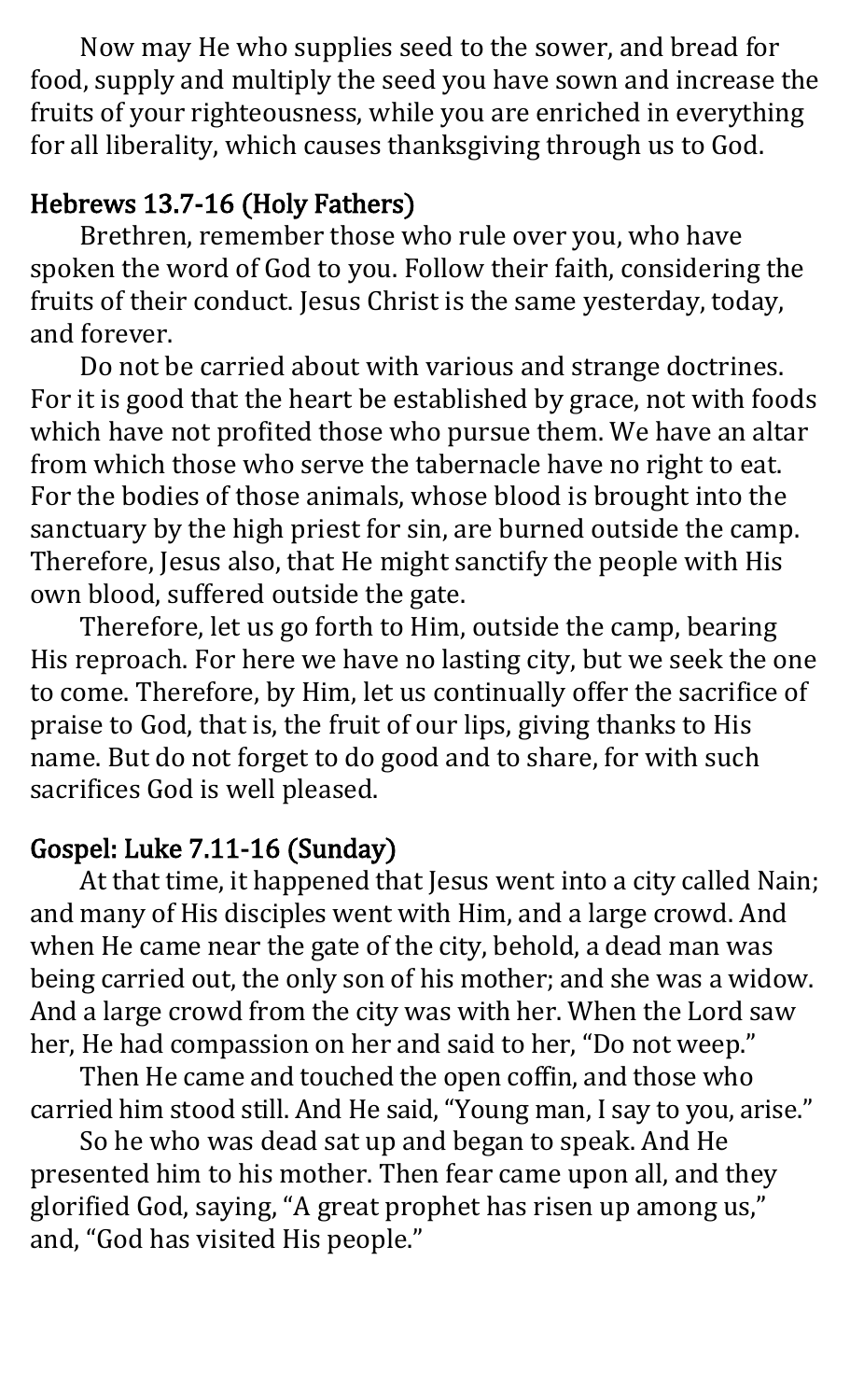Now may He who supplies seed to the sower, and bread for food, supply and multiply the seed you have sown and increase the fruits of your righteousness, while you are enriched in everything for all liberality, which causes thanksgiving through us to God.

#### Hebrews 13.7-16 (Holy Fathers)

 Brethren, remember those who rule over you, who have spoken the word of God to you. Follow their faith, considering the fruits of their conduct. Jesus Christ is the same yesterday, today, and forever.

Do not be carried about with various and strange doctrines. For it is good that the heart be established by grace, not with foods which have not profited those who pursue them. We have an altar from which those who serve the tabernacle have no right to eat. For the bodies of those animals, whose blood is brought into the sanctuary by the high priest for sin, are burned outside the camp. Therefore, Jesus also, that He might sanctify the people with His own blood, suffered outside the gate.

Therefore, let us go forth to Him, outside the camp, bearing His reproach. For here we have no lasting city, but we seek the one to come. Therefore, by Him, let us continually offer the sacrifice of praise to God, that is, the fruit of our lips, giving thanks to His name. But do not forget to do good and to share, for with such sacrifices God is well pleased.

#### Gospel: Luke 7.11-16 (Sunday)

At that time, it happened that Jesus went into a city called Nain; and many of His disciples went with Him, and a large crowd. And when He came near the gate of the city, behold, a dead man was being carried out, the only son of his mother; and she was a widow. And a large crowd from the city was with her. When the Lord saw her, He had compassion on her and said to her, "Do not weep."

Then He came and touched the open coffin, and those who carried him stood still. And He said, "Young man, I say to you, arise."

So he who was dead sat up and began to speak. And He presented him to his mother. Then fear came upon all, and they glorified God, saying, "A great prophet has risen up among us," and, "God has visited His people."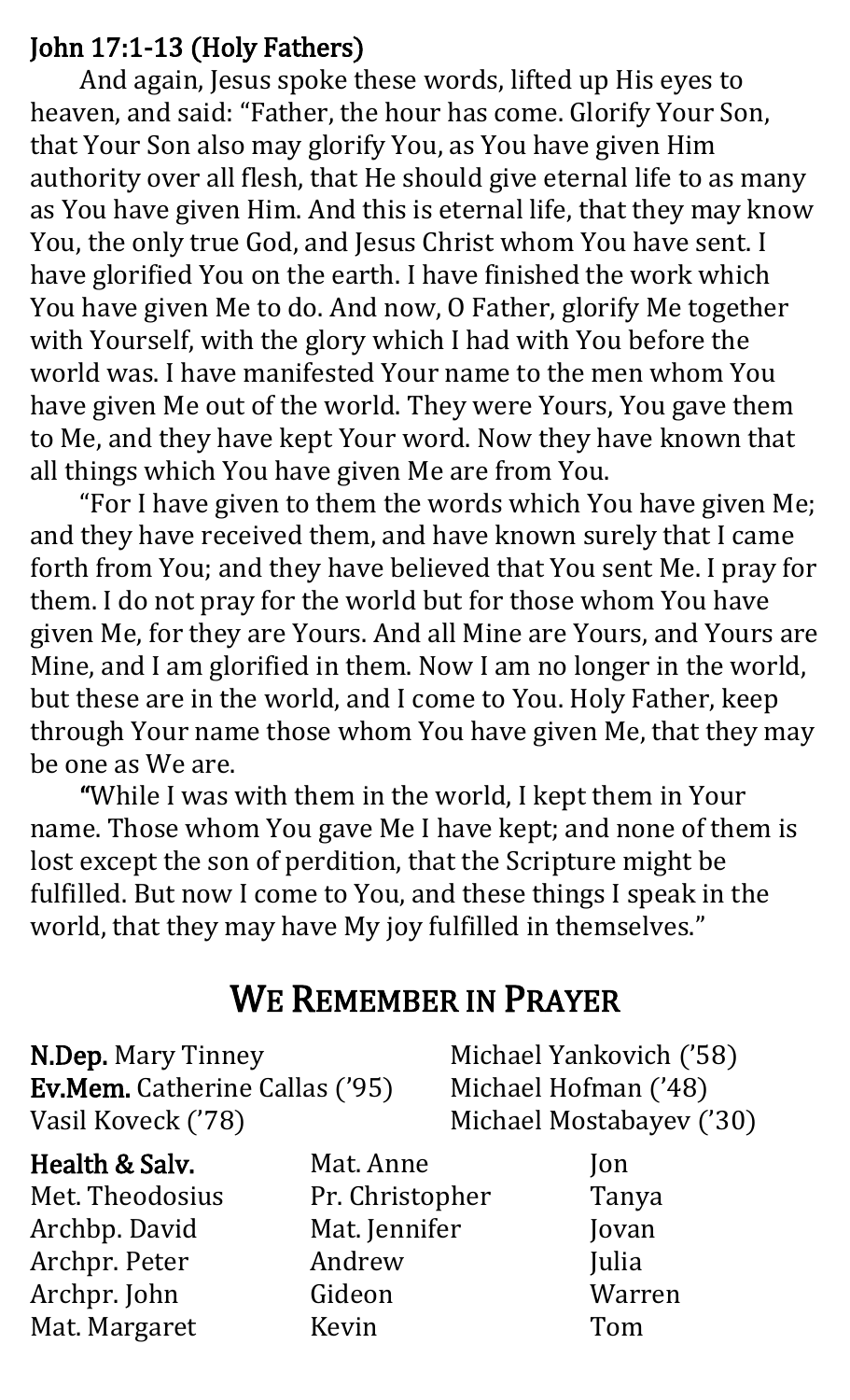#### John 17:1-13 (Holy Fathers)

And again, Jesus spoke these words, lifted up His eyes to heaven, and said: "Father, the hour has come. Glorify Your Son, that Your Son also may glorify You, as You have given Him authority over all flesh, that He should give eternal life to as many as You have given Him. And this is eternal life, that they may know You, the only true God, and Jesus Christ whom You have sent. I have glorified You on the earth. I have finished the work which You have given Me to do. And now, O Father, glorify Me together with Yourself, with the glory which I had with You before the world was. I have manifested Your name to the men whom You have given Me out of the world. They were Yours, You gave them to Me, and they have kept Your word. Now they have known that all things which You have given Me are from You.

"For I have given to them the words which You have given Me; and they have received them, and have known surely that I came forth from You; and they have believed that You sent Me. I pray for them. I do not pray for the world but for those whom You have given Me, for they are Yours. And all Mine are Yours, and Yours are Mine, and I am glorified in them. Now I am no longer in the world, but these are in the world, and I come to You. Holy Father, keep through Your name those whom You have given Me, that they may be one as We are.

 "While I was with them in the world, I kept them in Your name. Those whom You gave Me I have kept; and none of them is lost except the son of perdition, that the Scripture might be fulfilled. But now I come to You, and these things I speak in the world, that they may have My joy fulfilled in themselves."

#### WE REMEMBER IN PRAYER

N.Dep. Mary Tinney Ev.Mem. Catherine Callas ('95) Vasil Koveck ('78)

Health & Salv. Met. Theodosius Archbp. David Archpr. Peter Archpr. John Mat. Margaret

Mat. Anne Pr. Christopher Mat. Jennifer Andrew Gideon Kevin

Michael Mostabayev ('30) Jon Tanya Jovan Julia Warren Tom

Michael Yankovich ('58)

Michael Hofman ('48)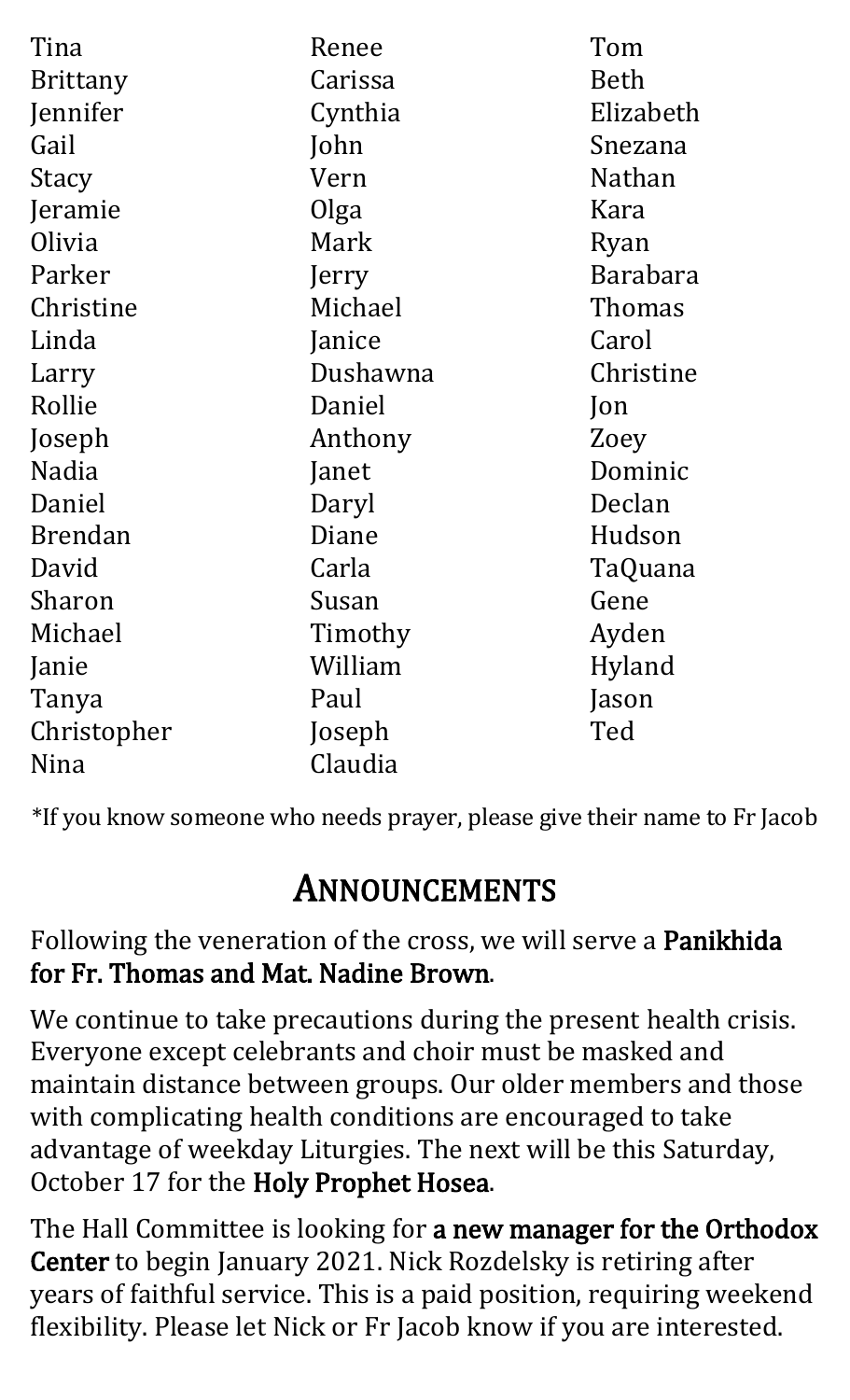| Tina            | Renee    | Tom             |
|-----------------|----------|-----------------|
| <b>Brittany</b> | Carissa  | <b>Beth</b>     |
| Jennifer        | Cynthia  | Elizabeth       |
| Gail            | John     | Snezana         |
| Stacy           | Vern     | <b>Nathan</b>   |
| Jeramie         | Olga     | Kara            |
| Olivia          | Mark     | Ryan            |
| Parker          | Jerry    | <b>Barabara</b> |
| Christine       | Michael  | Thomas          |
| Linda           | Janice   | Carol           |
| Larry           | Dushawna | Christine       |
| Rollie          | Daniel   | Jon             |
| Joseph          | Anthony  | Zoey            |
| Nadia           | Janet    | Dominic         |
| Daniel          | Daryl    | Declan          |
| <b>Brendan</b>  | Diane    | Hudson          |
| David           | Carla    | TaQuana         |
| Sharon          | Susan    | Gene            |
| Michael         | Timothy  | Ayden           |
| Janie           | William  | Hyland          |
| Tanya           | Paul     | Jason           |
| Christopher     | Joseph   | Ted             |
| Nina            | Claudia  |                 |

\*If you know someone who needs prayer, please give their name to Fr Jacob

### ANNOUNCEMENTS

Following the veneration of the cross, we will serve a Panikhida for Fr. Thomas and Mat. Nadine Brown.

We continue to take precautions during the present health crisis. Everyone except celebrants and choir must be masked and maintain distance between groups. Our older members and those with complicating health conditions are encouraged to take advantage of weekday Liturgies. The next will be this Saturday, October 17 for the Holy Prophet Hosea.

The Hall Committee is looking for a new manager for the Orthodox Center to begin January 2021. Nick Rozdelsky is retiring after years of faithful service. This is a paid position, requiring weekend flexibility. Please let Nick or Fr Jacob know if you are interested.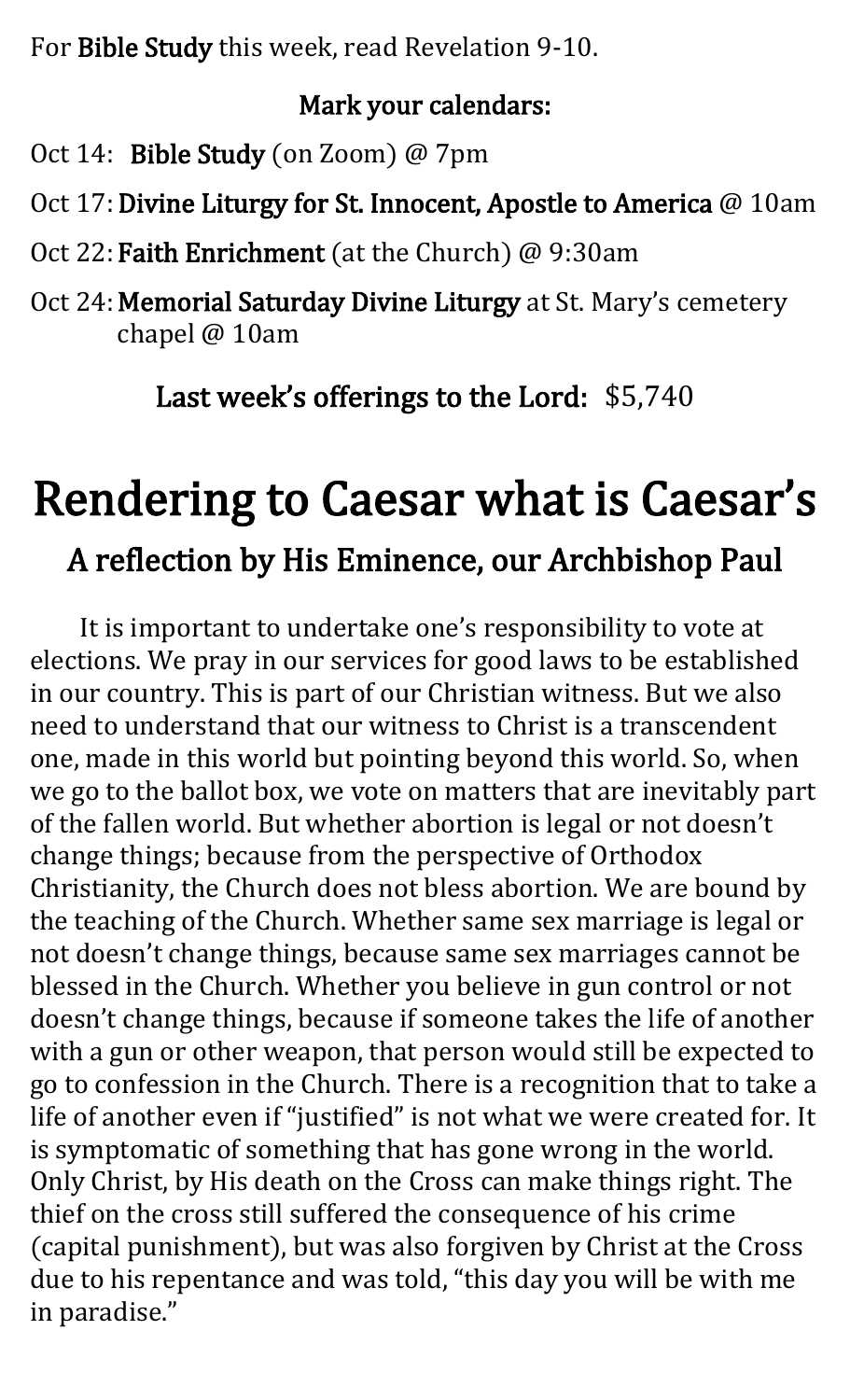For Bible Study this week, read Revelation 9-10.

#### Mark your calendars:

Oct 14: Bible Study (on Zoom) @ 7pm

Oct 17: Divine Liturgy for St. Innocent, Apostle to America @ 10am

Oct 22:Faith Enrichment (at the Church) @ 9:30am

Oct 24: Memorial Saturday Divine Liturgy at St. Mary's cemetery chapel @ 10am

Last week's offerings to the Lord: \$5,740

# Rendering to Caesar what is Caesar's A reflection by His Eminence, our Archbishop Paul

It is important to undertake one's responsibility to vote at elections. We pray in our services for good laws to be established in our country. This is part of our Christian witness. But we also need to understand that our witness to Christ is a transcendent one, made in this world but pointing beyond this world. So, when we go to the ballot box, we vote on matters that are inevitably part of the fallen world. But whether abortion is legal or not doesn't change things; because from the perspective of Orthodox Christianity, the Church does not bless abortion. We are bound by the teaching of the Church. Whether same sex marriage is legal or not doesn't change things, because same sex marriages cannot be blessed in the Church. Whether you believe in gun control or not doesn't change things, because if someone takes the life of another with a gun or other weapon, that person would still be expected to go to confession in the Church. There is a recognition that to take a life of another even if "justified" is not what we were created for. It is symptomatic of something that has gone wrong in the world. Only Christ, by His death on the Cross can make things right. The thief on the cross still suffered the consequence of his crime (capital punishment), but was also forgiven by Christ at the Cross due to his repentance and was told, "this day you will be with me in paradise."